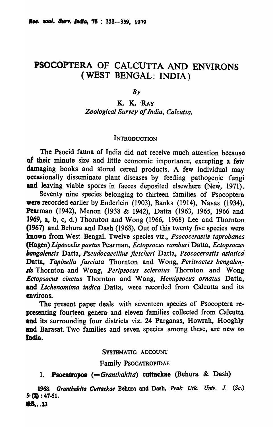# PSOCOPTERA OF CALCUTTA AND ENVIRONS (WEST BENGAL: INDIA)

 $Bv$ 

K. K. RAY *Zoological Survey of India, Calcutta.* 

#### **INTRODUCTION**

The Psocid fauna of India did not receive much attention because of their minute size and little economic importance, excepting a few damaging books and stored cereal products. A few individual may occasionally disseminate plant diseases by feeding pathogenic fungi and leaving viable spores in faeces deposited elsewhere (New, 1971).

Seventy nine species belonging to thirteen families of Psocoptera were recorded earlier by Enderlein (1903), Banks (1914), Navas (1934), Pearman (1942), Menon (1938 & 1942), Datta (1963, 1965, 1966 and 1969, a, b, c, d.) Thornton and Wong (1966, 1968) Lee and Thornton (1967) and Behura and Dash (1968). Out of this twenty five species were known from West Bengal. Twelve species viz., *Psococerastis taprobanes*  (Hagen) *Liposcelis paetus* Pearman, *Ectopsocus ramburi* Datta, *Ectopsocus btmgalensis* Datta, *Pseudocaecilius fletcheri* Datta, *Psococerastis asiatica*  Datta, *Tapinella fasciata* Thornton and Wong, *Peritroctes bengalen,* **sis** Thornton and Wong, *Peripsocus sclerotus* Thornton and Wong *Ectopsocus cinetus* Thornton and Wong, *Hemipsocus ornatus* Datta, and *Lichenomima indica* Datta, were recorded from Calcutta and its environs.

The present paper deals with seventeen species of Psocoptera representing fourteen genera and eleven families collected from Calcutta and its surrounding four districts viz. 24 Parganas, Howrah, Hooghly and Barasat. Two families and seven species among these, are new to ladia.

SYSTEMATIC ACCOUNT

Family PSOCATROPIDAE

1. Psocatropos (= *Granthakita)* cuttackae (Behura & Dash)

1968. Granthakita Cuttackae Behura and Dash, Prak Utk. Univ. J. (Sc.)  $5:22:47-51.$ 

 $B. . .23$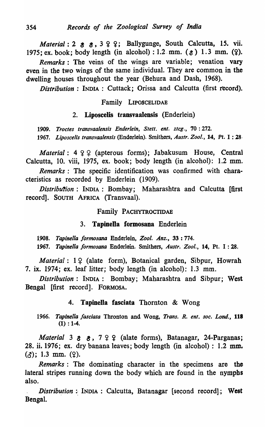*Material*: 2  $\sigma$   $\sigma$ , 3  $\varphi$   $\varphi$ ; Ballygunge, South Calcutta, 15. vii. 1975; ex. book; body length (in alcohol) : 1.2 mm. ( $\delta$ ) 1.3 mm. ( $\Omega$ ).

*Remarks:* The veins of the wings are variable; venation vary even in the two wings of the same individual. They are common in the dwelling houses throughout the year (Behura and Dash, 1968).

*Distribution* : INDIA : Cuttack: Orissa and Calcutta (first record).

# Family LIPOSCELIDAE

## 2. Liposcelis transvaalensis (Enderlein)

1909. *Troctes transvaalensis Enderlein, Stett. ent. ztcg.,* 70: 272. 1967. *Liposcells transvaalensis* (Enderlein). Smithers, *Austr. Zool.,* 14, Pt. I : 28·

*Material*:  $4 \cdot 4 \cdot 4$  (apterous forms); Jabakusum House, Central Calcutta, 10. viii, 1975, ex. book; body length (in alcohol): 1.2 mm.

*Remarks:* The specific identification was confirmed with characteristics as recorded by Enderlein (1909).

*Distribution*: INDIA: Bombay; Maharashtra and Calcutta [first] record]. SOUTH AFRICA (Transvaal).

## Family PACHYTROCTIDAE

## 3. Tapinella formosana Enderlein

*1.908. Tapine/fa formosana* Enderlein, *Zool. Anz.,* 33 : 774.

1967. Tapinella formosana Enderlein. Smithers, Austr. Zool., 14, Pt. I: 28.

*Material:* 19 (alate form), Botanical garden, Sibpur, Howrah 7. ix. 1974; ex. leaf litter; body length (in alcohol): 1.3 mm.

*Distribution:* INDIA: Bombay; Maharashtra and Sibpur; West Bengal [first record]. FORMOSA.

## 4. Tapinella fasciata Thornton & Wong

1966. *Tapinella /asciata* Thronton and Wong, *Trans. R. ent. soc. Lond., 118*   $(1) : 1-4.$ 

*Material* 3  $\sigma$   $\sigma$ , 7  $\varphi$   $\varphi$  (alate forms), Batanagar, 24-Parganas; 28. ii. 1976; ex. dry banana leaves; body length (in alcohol) : 1.2 mm.  $(\xi)$ ; 1.3 mm. (9).

*Remarks:* The dominating character in the specimens are the lateral stripes running down the body which are found in the nympbs also.

Distribution : INDIA : Calcutta, Batanagar [second record]: West Bengal.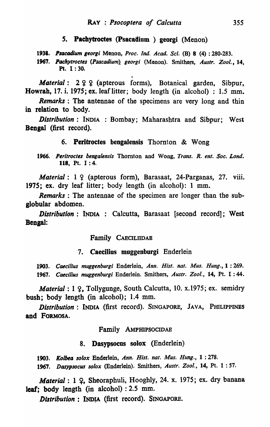## *s.* Paebytroctes (psacadium ) georgi (Menon)

*1938. PIGcadium georgi* Monon, *Proc. Ind. A cad. Sci.* (B) 8 (4) : 280-283.

1967. Pachytroctes (Psacadium) georgi (Menon). Smithers, *Austr. Zool.*, 14, Pt. I: 30.

*Material:* 2 ? ? (apterous forms), Botanical garden, Sibpur, Howrah, 17. i. 1975; ex. leaf litter; body length (in alcohol) : 1.5 mm.

*Remarks* : The antennae of the specimens are very long and thin in relation to body.

*Distribution:* INDIA : Bombay; Maharashtra and Sibpur; West Bengal (first record).

#### 6. Peritroctes bengalensis Thornton & Wong

*1966. Peritroctes bengalensis* Thornton and Wong, *Trans. R. ent. Soc. Lond.*  118, Pt. I : 4.

*Material*: 1 9 (apterous form), Barasaat, 24-Parganas, 27. viii. 1975; ex. dry leaf litter; body length (in alcohol):  $1 \text{ mm}$ .

*Remarks* : The antennae of the specimen are longer than the subglobular abdomen.

*Distribution* : INDIA : Calcutta, Barasaat [second record]; West Bengal:

# Family CAECILIIDAB

#### 7. Caecilius muggenburgi Enderlein

*1903. Caecilius muggenburgi* Enderlein, *Ann. Hist. nat. Mus. Hung.,* 1 : 269. *1967. Caecilius muggenburgi* Enderlein. Smithers, *Austr. Zool.,* 14, Pt. I : 44.

*Material:* 1 9. Tollygunge, South Calcutta, 10. x.1975; ex. semidry bush; body length (in alcohol); 1.4 mm.

*Distribution:* INDIA (first record). SINGAPORE, JAVA, PmLIPPINES and FORMOSA.

#### Family AMPHIPSOCIDAE

#### 8. Dasypsocus solox (Enderlein)

1903. Kolbea solox Enderlein, *Ann. Hist. nat. Mus. Hung.*, 1:278. 1967. Dasypsocus solox (Enderlein). Smithers, Austr. Zool., 14, Pt. 1:57.

*Material*: 1 9, Sheoraphuli, Hooghly, 24. x. 1975; ex. dry banana leaf; body length (in alcohol) : 2.5 mm.

*Distribution* : INDIA (first record). SINGAPORE.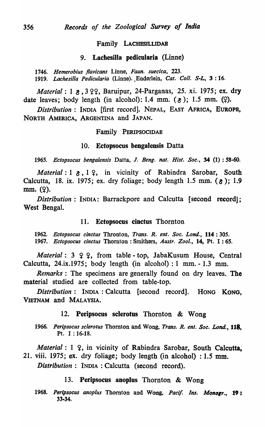#### Family LACHESILLIDAB

## 9. Lachesilla pedicularia (Linne)

*1746. Hemerobius f/avicans* Linna, *Faun. suecica, 223.*  1919. *Lachesilla Pedicularia* (Linne). Enderlein, *Cat. Coll. S-L*, 3:16.

*Material*: 1  $\sigma$ , 3  $99$ , Baruipur, 24-Parganas, 25. xi. 1975; ex. dry date leaves; body length (in alcohol): 1.4 mm.  $(\phi)$ ; 1.5 mm.  $(\phi)$ .

*Distribution:* INDIA [first record]. NEPAL, EAST AFRICA, EUROPB, NORTH AMERICA, ARGENTINA and JAPAN.

#### Family PERIPSOCIDAB

#### 10. Ectopsocus bengalensis Datta

*1965. Ectopsocus bengalensis* Datta, J. *Beng. nat. Hist. Soc.,* 34 (1) : 58-60.

*Material*: 1  $\sigma$ , 1  $\Omega$ , in vicinity of Rabindra Sarobar, South Calcutta, 18. ix. 1975; ex. dry foliage; body length 1.5 mm.  $(3)$ ; 1.9  $mm. (9).$ 

*Distribution*: INDIA: Barrackpore and Calcutta [second record]; West Bengal.

## 11. Ectopsocus cinctus Thornton

*1962. Ectopsocus cinctus* Thronton, *Trans. R. ent. Soc. Lond.,* 114 : 305. *1967. Ectopsocus cinctus* Thornton: Smithers, *Austr-. Zool.,* 14, Pt. I: *6S.* 

*Material*:  $3 \varphi$ , from table - top, JabaKusum House, Central Calcutta, 24.ix.1975; body length (in alcohol) : 1 mm. - 1.3 mm.

*Remarks* : The specimens are generally found on dry leaves. The material studied are collected from table-top.

*Distribution:* INDIA: Calcutta [second record]. HONG KONG, VIETNAM and MALAYSIA.

#### 12. Peripsocus sclerotus Thornton & Wong

*1966. Peripsocus sclerotus* Thornton and Wong, *Trans. R. ent. Soc. Lond.,* 118, Pt. I: 16-18.

*Material*: 1  $\Omega$ , in vicinity of Rabindra Sarobar, South Calcutta, 21. viii. 1975; ex. dry foliage; body length (in alcohol) : 1.5 mm.

*Distribution:* INDIA: Calcutta (second record).

## 13. Peripsocus anoplus Thornton & Wong

1968. Peripsocus anoplus Thornton and Wong, Pacif. Ins. Monogr., 19: 33·34.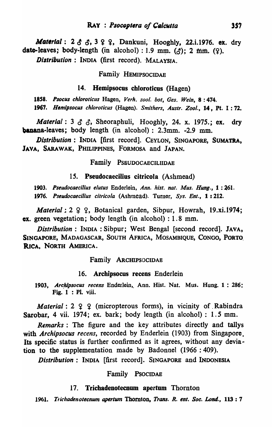*Material*: 2  $3$   $3$ , 3  $2$   $9$ , Dankuni, Hooghly, 22.i.1976. ex. dry date-leaves; body-length (in alcohol) : 1.9 mm. ( $f$ ); 2 mm. ( $\Omega$ ). *Distribution* : INDIA (first record). MALAYSIA.

Family HEMIPSOCIDAB

## 14. Hemipsocus chloroticus (Hagen)

*18S8. Psocus chloroticlIs* Hagen, *Verh. zool. bot, Ges. Wein,* 8 : 474. *1961. H,mlpsocus chloroticus* (Hagen). *Smithers, Austr. Zool.,* 14, Pt. I : 72.

*Material: 3 & &, Sheoraphuli, Hooghly, 24. x. 1975.; ex. dry* banana-leaves; body length (in alcohol) : 2.3mm. -2.9 mm.

*Distribution:* INDIA [first record]. CEYLON, SINGAPORE, SUMATRA, JAVA, SARAWAK, PHILIPPINES, FORMOSA and JAPAN.

Family PSBUDOCAECILIIDAB

## 15. Pseudocaecilius citricola (Ashmead)

1903. Pseudocaecilius elutus Enderlein, *Ann. hist. nat. Mus. Hung.*, 1:261. 1976. Pseudocaecilius citricola (Ashmead). Turner, Sys. Ent., 1:212.

*Material*: 2  $\varphi$  ?, Botanical garden, Sibpur, Howrah, 19.xi.1974; ex. green vegetation; body length (in alcohol) : 1.8 mm.

*Distribution:* INDIA: Sibpur; West Bengal [second record]. JAVA, SINGAPORE, MADAGASCAR, SOUTH AFRICA, MOSAMBIQUE, CONGO, PORTO. RICA, NORTH AMERICA.

Family ARCHIPSOCIDAE

#### 16. Archipsocus recens Enderlein

1903, Archipsocus recens Enderlein, Ann. Hist. Nat. Mus. Hung. 1: 286: Fig. 1 : Pl. viii.

*Material*: 2 ? ? (micropterous forms), in vicinity of Rabindra Sarobar, 4 vii. 1974; ex. bark; body length (in alcohol): 1.5 mm.

*Remarks:* The figure and the key attributes directly and tallys with *Archipsocus recens,* recorded by Enderlein (1903) from Singapore. Its specific status is further confirmed as it agrees, without any deviation to the supplementation made by Badonnel (1966 : 409).

*Distribution:* INDIA [first record]. SINGAPORE and INDONESIA

#### Family PSOCIDAB

## 17. Trichadenotecnum apertum Thornton

*1961. Tr;chadenolecnum apertum* Thornton, *Trans. R. enl. Soc. Lond.,* 113: 7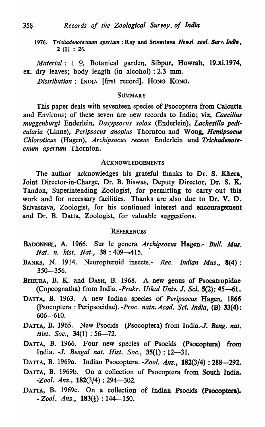1976. Trichadenotecnum apertum : Ray and Srivastava *Newsl. zool. Surv. Indla*. 2 (1) : 26.

*Material: 1 \2, Botanical garden, Sibpur, Howrah, 19.xi.1974,* ex. dry leaves; body length (in alcohol) :  $2.3$  mm.

*Distribution:* INDIA [first record]. HONG KONG.

## SUMMARY

This paper deals with seventeen species of Psocoptera from Calcutta and Environs; of these seven are new records to India; viz, *Caecilius*   $muggenburgi$  Enderlein, *Dasypsocus solox* (Enderlein), *Lachesilla pedicularia* (Linne), *Peripsocus anoplus* Thornton and Wong, *Hemipsocus Chloroticus* (Hagen), *Archipsocus recens* Enderlein and *Trichadenotecnum apertum* Thornton.

#### ACKNOWLEDGEMENTS

The author acknowledges his grateful thanks to Dr. S. Khera, Joint Director-in-Charge, Dr. B. Biswas, Deputy Director, Dr. S. K. Tandon, Superintending Zoologist, for permitting to carry out this work and for necessary facilities. Thanks are also due to Dr. V. D. Srivastava, Zoologist, for his continued interest and encouragement and Dr. B. Datta, Zoologist, for valuable suggestions.

#### **REFERENCES**

- BADONNEL, A. 1966. Sur le genera *Archipsocus* Hagen.- *Bull. Mus. Nat. n. hist. Nat.*, 38:409-415.
- BANKS, N. 1914. Neuropteroid insects.- *Rec. Indian Mus.,* 8(4): 350-356.
- BEHURA, B. K. and DASH, B. 1968. A new genus of Psocatropidae (Copeognatha) from India. *-Prakr. Utkal Univ. J. Sci.* 5(2): 45-61.
- DATTA, B. 1963. A new Indian species of *Peripsocus* Hagen, 1866 (Psocoptera : Peripsocidae). *-Proc. natn. Acad. Sci. India,* (B) 33(4): 606-610.
- DATTA, B. 1965. New Psocids (Psocoptera) from India.-J. *Beng. nat. Hist. Soc.*, 34(1): 56–72.
- DATTA, B. 1966. Four new species of Psocids (Psocoptera) from India. -J. *Bengal nat. Hist. Soc.*, 35(1): 12-31.
- DATTA, B. 1969a. Indian Psocoptera. *-Zoo!. Anz.,* 182(3/4) : 288-292.
- DATTA, B. 1969b. On a collection of Psocoptera from South India. *-Zool. Anz.*, 182(3/4): 294-302.
- DATTA, B. 1969c. On a collection of Indian Psocids (Psocoptera). *- Zool. Anz.*, **183**( $\frac{1}{2}$ ): 144-150.